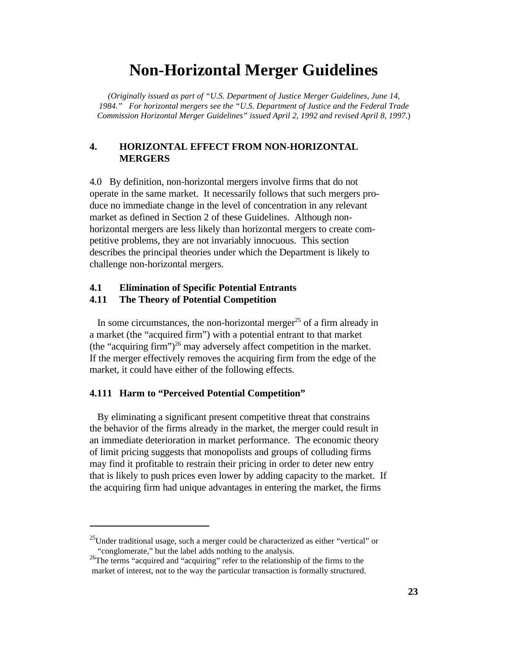# **Non-Horizontal Merger Guidelines**

*(Originally issued as part of "U.S. Department of Justice Merger Guidelines, June 14, 1984." For horizontal mergers see the "U.S. Department of Justice and the Federal Trade Commission Horizontal Merger Guidelines" issued April 2, 1992 and revised April 8, 1997.*)

# **4. HORIZONTAL EFFECT FROM NON-HORIZONTAL MERGERS**

4.0 By definition, non-horizontal mergers involve firms that do not operate in the same market. It necessarily follows that such mergers produce no immediate change in the level of concentration in any relevant market as defined in Section 2 of these Guidelines. Although nonhorizontal mergers are less likely than horizontal mergers to create competitive problems, they are not invariably innocuous. This section describes the principal theories under which the Department is likely to challenge non-horizontal mergers.

# **4.1 Elimination of Specific Potential Entrants**

#### **4.11 The Theory of Potential Competition**

In some circumstances, the non-horizontal merger<sup>25</sup> of a firm already in a market (the "acquired firm") with a potential entrant to that market (the "acquiring firm")<sup>26</sup> may adversely affect competition in the market. If the merger effectively removes the acquiring firm from the edge of the market, it could have either of the following effects.

#### **4.111 Harm to "Perceived Potential Competition"**

 By eliminating a significant present competitive threat that constrains the behavior of the firms already in the market, the merger could result in an immediate deterioration in market performance. The economic theory of limit pricing suggests that monopolists and groups of colluding firms may find it profitable to restrain their pricing in order to deter new entry that is likely to push prices even lower by adding capacity to the market. If the acquiring firm had unique advantages in entering the market, the firms

<sup>&</sup>lt;sup>25</sup>Under traditional usage, such a merger could be characterized as either "vertical" or "conglomerate," but the label adds nothing to the analysis.

<sup>&</sup>lt;sup>26</sup>The terms "acquired and "acquiring" refer to the relationship of the firms to the market of interest, not to the way the particular transaction is formally structured.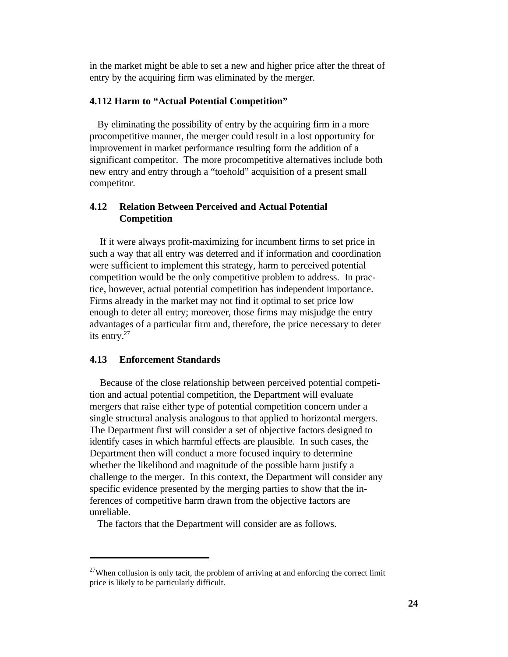in the market might be able to set a new and higher price after the threat of entry by the acquiring firm was eliminated by the merger.

#### **4.112 Harm to "Actual Potential Competition"**

 By eliminating the possibility of entry by the acquiring firm in a more procompetitive manner, the merger could result in a lost opportunity for improvement in market performance resulting form the addition of a significant competitor. The more procompetitive alternatives include both new entry and entry through a "toehold" acquisition of a present small competitor.

### **4.12 Relation Between Perceived and Actual Potential Competition**

 If it were always profit-maximizing for incumbent firms to set price in such a way that all entry was deterred and if information and coordination were sufficient to implement this strategy, harm to perceived potential competition would be the only competitive problem to address. In practice, however, actual potential competition has independent importance. Firms already in the market may not find it optimal to set price low enough to deter all entry; moreover, those firms may misjudge the entry advantages of a particular firm and, therefore, the price necessary to deter its entry.<sup>27</sup>

#### **4.13 Enforcement Standards**

 Because of the close relationship between perceived potential competition and actual potential competition, the Department will evaluate mergers that raise either type of potential competition concern under a single structural analysis analogous to that applied to horizontal mergers. The Department first will consider a set of objective factors designed to identify cases in which harmful effects are plausible. In such cases, the Department then will conduct a more focused inquiry to determine whether the likelihood and magnitude of the possible harm justify a challenge to the merger. In this context, the Department will consider any specific evidence presented by the merging parties to show that the inferences of competitive harm drawn from the objective factors are unreliable.

The factors that the Department will consider are as follows.

<sup>&</sup>lt;sup>27</sup>When collusion is only tacit, the problem of arriving at and enforcing the correct limit price is likely to be particularly difficult.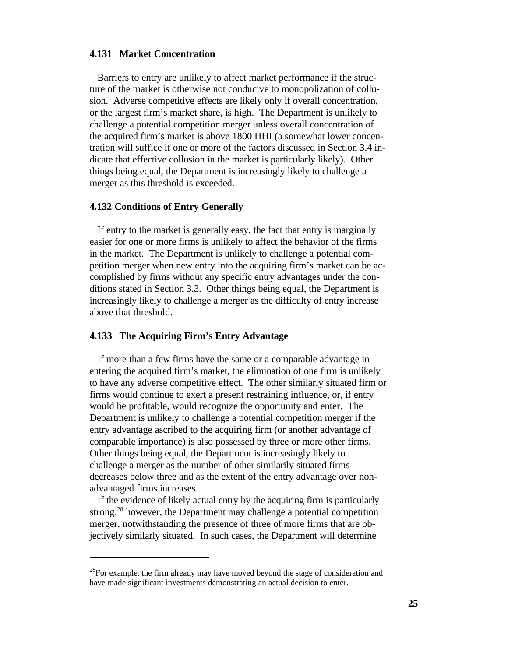#### **4.131 Market Concentration**

 Barriers to entry are unlikely to affect market performance if the structure of the market is otherwise not conducive to monopolization of collusion. Adverse competitive effects are likely only if overall concentration, or the largest firm's market share, is high. The Department is unlikely to challenge a potential competition merger unless overall concentration of the acquired firm's market is above 1800 HHI (a somewhat lower concentration will suffice if one or more of the factors discussed in Section 3.4 indicate that effective collusion in the market is particularly likely). Other things being equal, the Department is increasingly likely to challenge a merger as this threshold is exceeded.

#### **4.132 Conditions of Entry Generally**

 If entry to the market is generally easy, the fact that entry is marginally easier for one or more firms is unlikely to affect the behavior of the firms in the market. The Department is unlikely to challenge a potential competition merger when new entry into the acquiring firm's market can be accomplished by firms without any specific entry advantages under the conditions stated in Section 3.3. Other things being equal, the Department is increasingly likely to challenge a merger as the difficulty of entry increase above that threshold.

#### **4.133 The Acquiring Firm's Entry Advantage**

 If more than a few firms have the same or a comparable advantage in entering the acquired firm's market, the elimination of one firm is unlikely to have any adverse competitive effect. The other similarly situated firm or firms would continue to exert a present restraining influence, or, if entry would be profitable, would recognize the opportunity and enter. The Department is unlikely to challenge a potential competition merger if the entry advantage ascribed to the acquiring firm (or another advantage of comparable importance) is also possessed by three or more other firms. Other things being equal, the Department is increasingly likely to challenge a merger as the number of other similarily situated firms decreases below three and as the extent of the entry advantage over nonadvantaged firms increases.

 If the evidence of likely actual entry by the acquiring firm is particularly strong,<sup>28</sup> however, the Department may challenge a potential competition merger, notwithstanding the presence of three of more firms that are objectively similarly situated. In such cases, the Department will determine

 $^{28}$ For example, the firm already may have moved beyond the stage of consideration and have made significant investments demonstrating an actual decision to enter.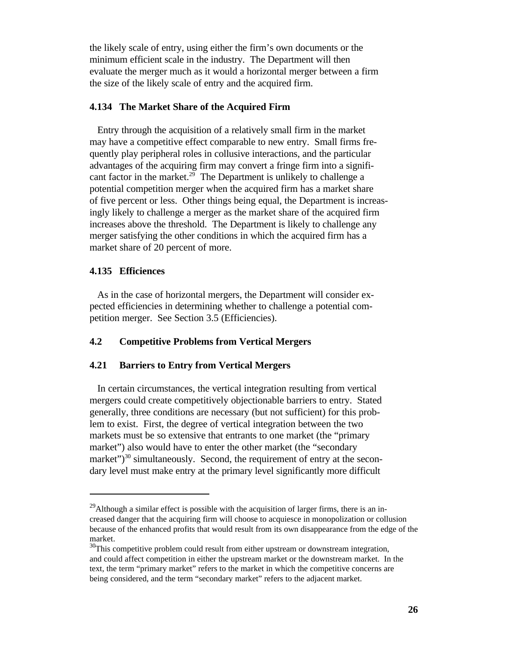the likely scale of entry, using either the firm's own documents or the minimum efficient scale in the industry. The Department will then evaluate the merger much as it would a horizontal merger between a firm the size of the likely scale of entry and the acquired firm.

#### **4.134 The Market Share of the Acquired Firm**

 Entry through the acquisition of a relatively small firm in the market may have a competitive effect comparable to new entry. Small firms frequently play peripheral roles in collusive interactions, and the particular advantages of the acquiring firm may convert a fringe firm into a significant factor in the market.<sup>29</sup> The Department is unlikely to challenge a potential competition merger when the acquired firm has a market share of five percent or less. Other things being equal, the Department is increasingly likely to challenge a merger as the market share of the acquired firm increases above the threshold. The Department is likely to challenge any merger satisfying the other conditions in which the acquired firm has a market share of 20 percent of more.

#### **4.135 Efficiences**

 As in the case of horizontal mergers, the Department will consider expected efficiencies in determining whether to challenge a potential competition merger. See Section 3.5 (Efficiencies).

# **4.2 Competitive Problems from Vertical Mergers**

# **4.21 Barriers to Entry from Vertical Mergers**

 In certain circumstances, the vertical integration resulting from vertical mergers could create competitively objectionable barriers to entry. Stated generally, three conditions are necessary (but not sufficient) for this problem to exist. First, the degree of vertical integration between the two markets must be so extensive that entrants to one market (the "primary market") also would have to enter the other market (the "secondary market" $3^{30}$  simultaneously. Second, the requirement of entry at the secondary level must make entry at the primary level significantly more difficult

 $^{29}$ Although a similar effect is possible with the acquisition of larger firms, there is an increased danger that the acquiring firm will choose to acquiesce in monopolization or collusion because of the enhanced profits that would result from its own disappearance from the edge of the market.

<sup>&</sup>lt;sup>30</sup>This competitive problem could result from either upstream or downstream integration, and could affect competition in either the upstream market or the downstream market. In the text, the term "primary market" refers to the market in which the competitive concerns are being considered, and the term "secondary market" refers to the adjacent market.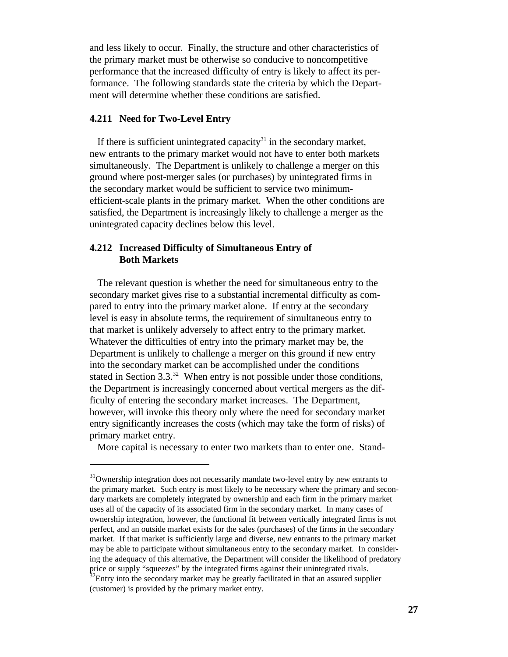and less likely to occur. Finally, the structure and other characteristics of the primary market must be otherwise so conducive to noncompetitive performance that the increased difficulty of entry is likely to affect its performance. The following standards state the criteria by which the Department will determine whether these conditions are satisfied.

#### **4.211 Need for Two-Level Entry**

If there is sufficient unintegrated capacity<sup>31</sup> in the secondary market, new entrants to the primary market would not have to enter both markets simultaneously. The Department is unlikely to challenge a merger on this ground where post-merger sales (or purchases) by unintegrated firms in the secondary market would be sufficient to service two minimumefficient-scale plants in the primary market. When the other conditions are satisfied, the Department is increasingly likely to challenge a merger as the unintegrated capacity declines below this level.

#### **4.212 Increased Difficulty of Simultaneous Entry of Both Markets**

 The relevant question is whether the need for simultaneous entry to the secondary market gives rise to a substantial incremental difficulty as compared to entry into the primary market alone. If entry at the secondary level is easy in absolute terms, the requirement of simultaneous entry to that market is unlikely adversely to affect entry to the primary market. Whatever the difficulties of entry into the primary market may be, the Department is unlikely to challenge a merger on this ground if new entry into the secondary market can be accomplished under the conditions stated in Section  $3.3^{32}$  When entry is not possible under those conditions, the Department is increasingly concerned about vertical mergers as the difficulty of entering the secondary market increases. The Department, however, will invoke this theory only where the need for secondary market entry significantly increases the costs (which may take the form of risks) of primary market entry.

More capital is necessary to enter two markets than to enter one. Stand-

<sup>&</sup>lt;sup>31</sup>Ownership integration does not necessarily mandate two-level entry by new entrants to the primary market. Such entry is most likely to be necessary where the primary and secondary markets are completely integrated by ownership and each firm in the primary market uses all of the capacity of its associated firm in the secondary market. In many cases of ownership integration, however, the functional fit between vertically integrated firms is not perfect, and an outside market exists for the sales (purchases) of the firms in the secondary market. If that market is sufficiently large and diverse, new entrants to the primary market may be able to participate without simultaneous entry to the secondary market. In considering the adequacy of this alternative, the Department will consider the likelihood of predatory price or supply "squeezes" by the integrated firms against their unintegrated rivals.

 $32$ Entry into the secondary market may be greatly facilitated in that an assured supplier (customer) is provided by the primary market entry.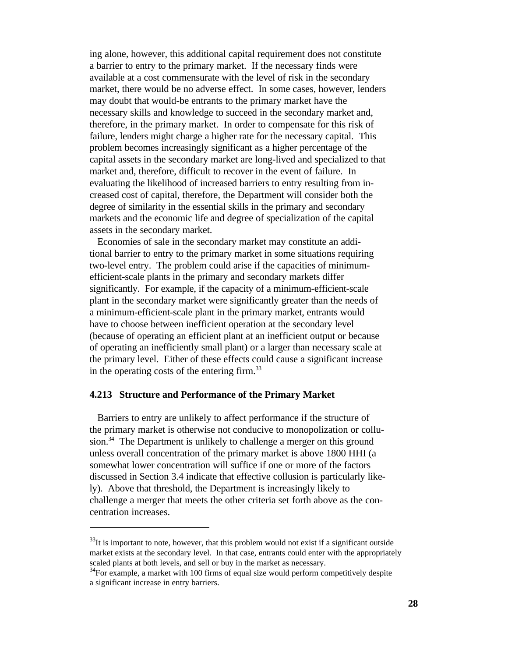ing alone, however, this additional capital requirement does not constitute a barrier to entry to the primary market. If the necessary finds were available at a cost commensurate with the level of risk in the secondary market, there would be no adverse effect. In some cases, however, lenders may doubt that would-be entrants to the primary market have the necessary skills and knowledge to succeed in the secondary market and, therefore, in the primary market. In order to compensate for this risk of failure, lenders might charge a higher rate for the necessary capital. This problem becomes increasingly significant as a higher percentage of the capital assets in the secondary market are long-lived and specialized to that market and, therefore, difficult to recover in the event of failure. In evaluating the likelihood of increased barriers to entry resulting from increased cost of capital, therefore, the Department will consider both the degree of similarity in the essential skills in the primary and secondary markets and the economic life and degree of specialization of the capital assets in the secondary market.

 Economies of sale in the secondary market may constitute an additional barrier to entry to the primary market in some situations requiring two-level entry. The problem could arise if the capacities of minimumefficient-scale plants in the primary and secondary markets differ significantly. For example, if the capacity of a minimum-efficient-scale plant in the secondary market were significantly greater than the needs of a minimum-efficient-scale plant in the primary market, entrants would have to choose between inefficient operation at the secondary level (because of operating an efficient plant at an inefficient output or because of operating an inefficiently small plant) or a larger than necessary scale at the primary level. Either of these effects could cause a significant increase in the operating costs of the entering firm. $33$ 

#### **4.213 Structure and Performance of the Primary Market**

 Barriers to entry are unlikely to affect performance if the structure of the primary market is otherwise not conducive to monopolization or collusion.<sup>34</sup> The Department is unlikely to challenge a merger on this ground unless overall concentration of the primary market is above 1800 HHI (a somewhat lower concentration will suffice if one or more of the factors discussed in Section 3.4 indicate that effective collusion is particularly likely). Above that threshold, the Department is increasingly likely to challenge a merger that meets the other criteria set forth above as the concentration increases.

 $33$ It is important to note, however, that this problem would not exist if a significant outside market exists at the secondary level. In that case, entrants could enter with the appropriately scaled plants at both levels, and sell or buy in the market as necessary.

 $34$ For example, a market with 100 firms of equal size would perform competitively despite a significant increase in entry barriers.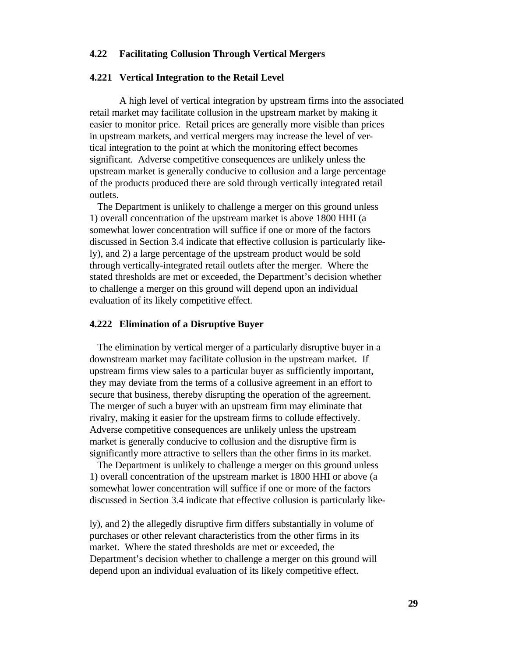#### **4.22 Facilitating Collusion Through Vertical Mergers**

### **4.221 Vertical Integration to the Retail Level**

A high level of vertical integration by upstream firms into the associated retail market may facilitate collusion in the upstream market by making it easier to monitor price. Retail prices are generally more visible than prices in upstream markets, and vertical mergers may increase the level of vertical integration to the point at which the monitoring effect becomes significant. Adverse competitive consequences are unlikely unless the upstream market is generally conducive to collusion and a large percentage of the products produced there are sold through vertically integrated retail outlets.

 The Department is unlikely to challenge a merger on this ground unless 1) overall concentration of the upstream market is above 1800 HHI (a somewhat lower concentration will suffice if one or more of the factors discussed in Section 3.4 indicate that effective collusion is particularly likely), and 2) a large percentage of the upstream product would be sold through vertically-integrated retail outlets after the merger. Where the stated thresholds are met or exceeded, the Department's decision whether to challenge a merger on this ground will depend upon an individual evaluation of its likely competitive effect.

#### **4.222 Elimination of a Disruptive Buyer**

 The elimination by vertical merger of a particularly disruptive buyer in a downstream market may facilitate collusion in the upstream market. If upstream firms view sales to a particular buyer as sufficiently important, they may deviate from the terms of a collusive agreement in an effort to secure that business, thereby disrupting the operation of the agreement. The merger of such a buyer with an upstream firm may eliminate that rivalry, making it easier for the upstream firms to collude effectively. Adverse competitive consequences are unlikely unless the upstream market is generally conducive to collusion and the disruptive firm is significantly more attractive to sellers than the other firms in its market.

 The Department is unlikely to challenge a merger on this ground unless 1) overall concentration of the upstream market is 1800 HHI or above (a somewhat lower concentration will suffice if one or more of the factors discussed in Section 3.4 indicate that effective collusion is particularly like-

ly), and 2) the allegedly disruptive firm differs substantially in volume of purchases or other relevant characteristics from the other firms in its market. Where the stated thresholds are met or exceeded, the Department's decision whether to challenge a merger on this ground will depend upon an individual evaluation of its likely competitive effect.